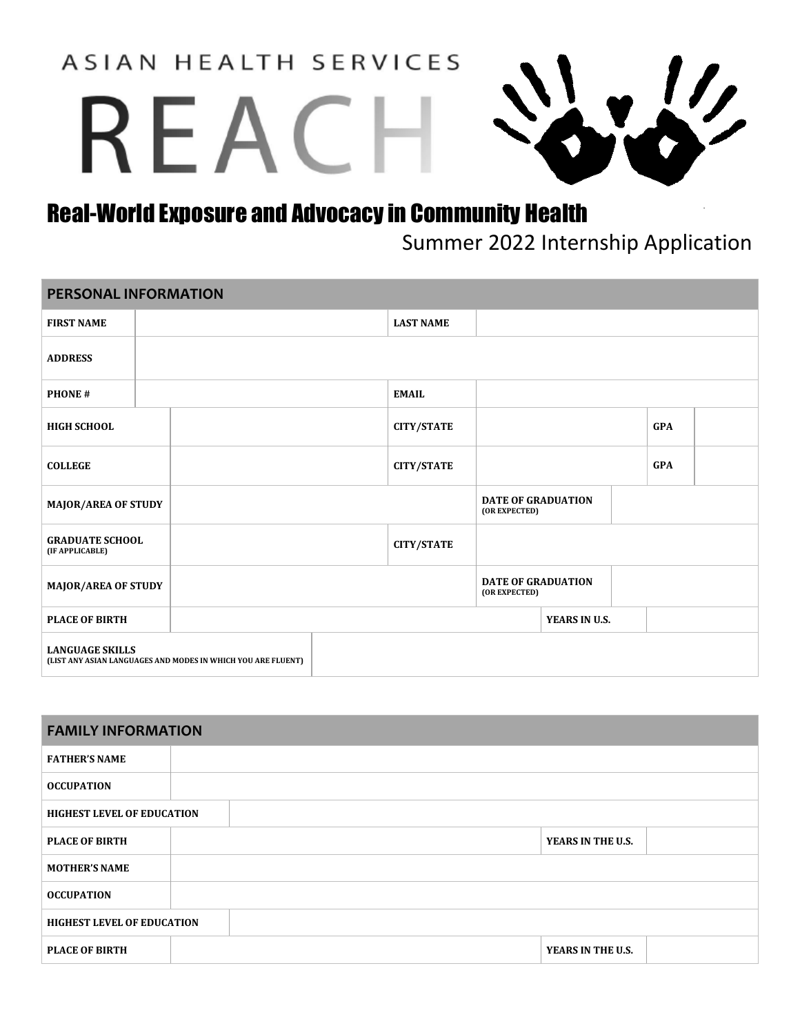**ASIAN HEALTH SERVICES** 

# REAC



## Real-World Exposure and Advocacy in Community Health

Summer 2022 Internship Application

### **PERSONAL INFORMATION FIRST NAME LAST NAME ADDRESS PHONE # EMAIL HIGH SCHOOL CITY/STATE GPA COLLEGE CITY/STATE GPA MAJOR/AREA OF STUDY (OR EXPECTED) GRADUATE SCHOOL (IF APPLICABLE) CITY/STATE MAJOR/AREA OF STUDY (OR EXPECTED) PLACE OF BIRTH YEARS IN U.S. LANGUAGE SKILLS (LIST ANY ASIAN LANGUAGES AND MODES IN WHICH YOU ARE FLUENT)**

| <b>FAMILY INFORMATION</b>         |  |                   |  |
|-----------------------------------|--|-------------------|--|
| <b>FATHER'S NAME</b>              |  |                   |  |
| <b>OCCUPATION</b>                 |  |                   |  |
| <b>HIGHEST LEVEL OF EDUCATION</b> |  |                   |  |
| <b>PLACE OF BIRTH</b>             |  | YEARS IN THE U.S. |  |
| <b>MOTHER'S NAME</b>              |  |                   |  |
| <b>OCCUPATION</b>                 |  |                   |  |
| <b>HIGHEST LEVEL OF EDUCATION</b> |  |                   |  |
| <b>PLACE OF BIRTH</b>             |  | YEARS IN THE U.S. |  |